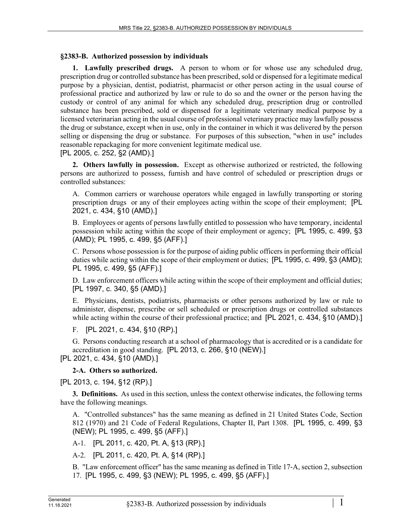## **§2383-B. Authorized possession by individuals**

**1. Lawfully prescribed drugs.** A person to whom or for whose use any scheduled drug, prescription drug or controlled substance has been prescribed, sold or dispensed for a legitimate medical purpose by a physician, dentist, podiatrist, pharmacist or other person acting in the usual course of professional practice and authorized by law or rule to do so and the owner or the person having the custody or control of any animal for which any scheduled drug, prescription drug or controlled substance has been prescribed, sold or dispensed for a legitimate veterinary medical purpose by a licensed veterinarian acting in the usual course of professional veterinary practice may lawfully possess the drug or substance, except when in use, only in the container in which it was delivered by the person selling or dispensing the drug or substance. For purposes of this subsection, "when in use" includes reasonable repackaging for more convenient legitimate medical use.

## [PL 2005, c. 252, §2 (AMD).]

**2. Others lawfully in possession.** Except as otherwise authorized or restricted, the following persons are authorized to possess, furnish and have control of scheduled or prescription drugs or controlled substances:

A. Common carriers or warehouse operators while engaged in lawfully transporting or storing prescription drugs or any of their employees acting within the scope of their employment; [PL 2021, c. 434, §10 (AMD).]

B. Employees or agents of persons lawfully entitled to possession who have temporary, incidental possession while acting within the scope of their employment or agency; [PL 1995, c. 499, §3 (AMD); PL 1995, c. 499, §5 (AFF).]

C. Persons whose possession is for the purpose of aiding public officers in performing their official duties while acting within the scope of their employment or duties; [PL 1995, c. 499, §3 (AMD); PL 1995, c. 499, §5 (AFF).]

D. Law enforcement officers while acting within the scope of their employment and official duties; [PL 1997, c. 340, §5 (AMD).]

E. Physicians, dentists, podiatrists, pharmacists or other persons authorized by law or rule to administer, dispense, prescribe or sell scheduled or prescription drugs or controlled substances while acting within the course of their professional practice; and [PL 2021, c. 434, §10 (AMD).]

F. [PL 2021, c. 434, §10 (RP).]

G. Persons conducting research at a school of pharmacology that is accredited or is a candidate for accreditation in good standing. [PL 2013, c. 266, §10 (NEW).] [PL 2021, c. 434, §10 (AMD).]

**2-A. Others so authorized.** 

[PL 2013, c. 194, §12 (RP).]

**3. Definitions.** As used in this section, unless the context otherwise indicates, the following terms have the following meanings.

A. "Controlled substances" has the same meaning as defined in 21 United States Code, Section 812 (1970) and 21 Code of Federal Regulations, Chapter II, Part 1308. [PL 1995, c. 499, §3 (NEW); PL 1995, c. 499, §5 (AFF).]

A-1. [PL 2011, c. 420, Pt. A, §13 (RP).]

A-2. [PL 2011, c. 420, Pt. A, §14 (RP).]

B. "Law enforcement officer" has the same meaning as defined in Title 17‑A, section 2, subsection 17. [PL 1995, c. 499, §3 (NEW); PL 1995, c. 499, §5 (AFF).]